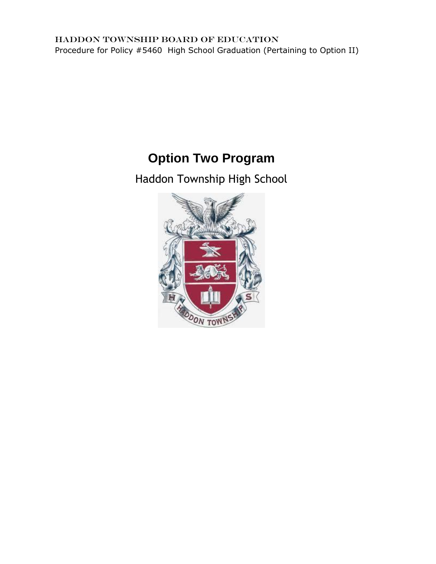# **Option Two Program**

Haddon Township High School

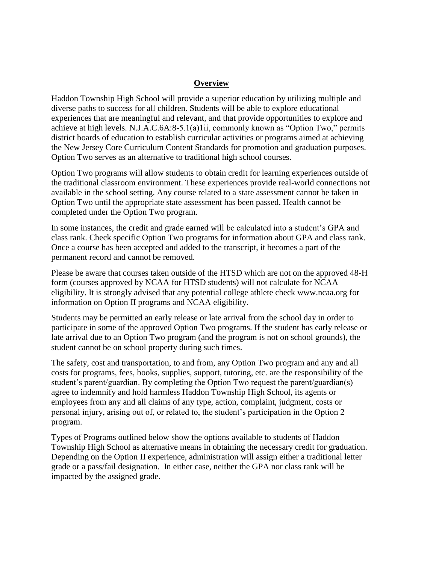#### **Overview**

Haddon Township High School will provide a superior education by utilizing multiple and diverse paths to success for all children. Students will be able to explore educational experiences that are meaningful and relevant, and that provide opportunities to explore and achieve at high levels. N.J.A.C.6A:8-5.1(a)1ii, commonly known as "Option Two," permits district boards of education to establish curricular activities or programs aimed at achieving the New Jersey Core Curriculum Content Standards for promotion and graduation purposes. Option Two serves as an alternative to traditional high school courses.

Option Two programs will allow students to obtain credit for learning experiences outside of the traditional classroom environment. These experiences provide real-world connections not available in the school setting. Any course related to a state assessment cannot be taken in Option Two until the appropriate state assessment has been passed. Health cannot be completed under the Option Two program.

In some instances, the credit and grade earned will be calculated into a student's GPA and class rank. Check specific Option Two programs for information about GPA and class rank. Once a course has been accepted and added to the transcript, it becomes a part of the permanent record and cannot be removed.

Please be aware that courses taken outside of the HTSD which are not on the approved 48-H form (courses approved by NCAA for HTSD students) will not calculate for NCAA eligibility. It is strongly advised that any potential college athlete check www.ncaa.org for information on Option II programs and NCAA eligibility.

Students may be permitted an early release or late arrival from the school day in order to participate in some of the approved Option Two programs. If the student has early release or late arrival due to an Option Two program (and the program is not on school grounds), the student cannot be on school property during such times.

The safety, cost and transportation, to and from, any Option Two program and any and all costs for programs, fees, books, supplies, support, tutoring, etc. are the responsibility of the student's parent/guardian. By completing the Option Two request the parent/guardian(s) agree to indemnify and hold harmless Haddon Township High School, its agents or employees from any and all claims of any type, action, complaint, judgment, costs or personal injury, arising out of, or related to, the student's participation in the Option 2 program.

Types of Programs outlined below show the options available to students of Haddon Township High School as alternative means in obtaining the necessary credit for graduation. Depending on the Option II experience, administration will assign either a traditional letter grade or a pass/fail designation. In either case, neither the GPA nor class rank will be impacted by the assigned grade.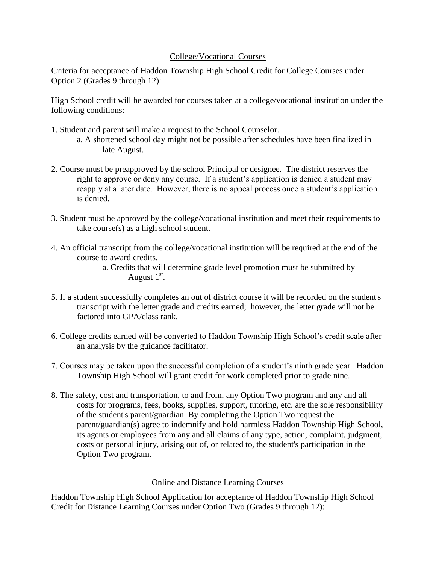# College/Vocational Courses

Criteria for acceptance of Haddon Township High School Credit for College Courses under Option 2 (Grades 9 through 12):

High School credit will be awarded for courses taken at a college/vocational institution under the following conditions:

- 1. Student and parent will make a request to the School Counselor.
	- a. A shortened school day might not be possible after schedules have been finalized in late August.
- 2. Course must be preapproved by the school Principal or designee. The district reserves the right to approve or deny any course. If a student's application is denied a student may reapply at a later date. However, there is no appeal process once a student's application is denied.
- 3. Student must be approved by the college/vocational institution and meet their requirements to take course(s) as a high school student.
- 4. An official transcript from the college/vocational institution will be required at the end of the course to award credits.

a. Credits that will determine grade level promotion must be submitted by August  $1<sup>st</sup>$ .

- 5. If a student successfully completes an out of district course it will be recorded on the student's transcript with the letter grade and credits earned; however, the letter grade will not be factored into GPA/class rank.
- 6. College credits earned will be converted to Haddon Township High School's credit scale after an analysis by the guidance facilitator.
- 7. Courses may be taken upon the successful completion of a student's ninth grade year. Haddon Township High School will grant credit for work completed prior to grade nine.
- 8. The safety, cost and transportation, to and from, any Option Two program and any and all costs for programs, fees, books, supplies, support, tutoring, etc. are the sole responsibility of the student's parent/guardian. By completing the Option Two request the parent/guardian(s) agree to indemnify and hold harmless Haddon Township High School, its agents or employees from any and all claims of any type, action, complaint, judgment, costs or personal injury, arising out of, or related to, the student's participation in the Option Two program.

# Online and Distance Learning Courses

[Haddon Township High School](http://www.google.com/url?q=http%3A%2F%2Fwww.lrhsd.org%2Fcms%2Flib05%2FNJ01000316%2FCentricity%2FDomain%2F93%2FCOLLEGE_VOC__INDEP_STUDY_DIST_LEARN_FF_EMTOpt_2_app.pdf&sa=D&sntz=1&usg=AFQjCNHysb3Hog4w2f6wYZYwjXForRUfCw) [Application f](http://www.google.com/url?q=http%3A%2F%2Fwww.lrhsd.org%2Fcms%2Flib05%2FNJ01000316%2FCentricity%2FDomain%2F93%2FCOLLEGE_VOC__INDEP_STUDY_DIST_LEARN_FF_EMTOpt_2_app.pdf&sa=D&sntz=1&usg=AFQjCNHysb3Hog4w2f6wYZYwjXForRUfCw)or acceptance of Haddon Township High School Credit for Distance Learning Courses under Option Two (Grades 9 through 12):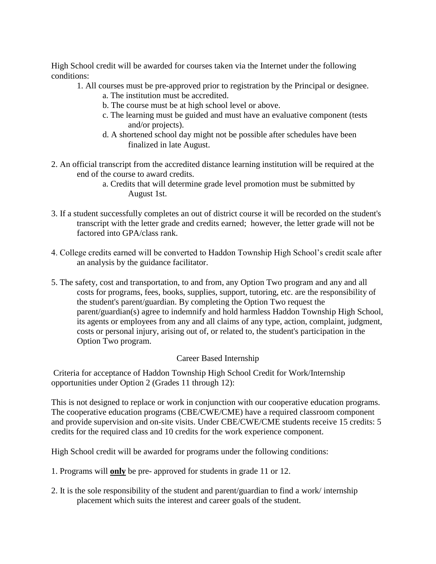High School credit will be awarded for courses taken via the Internet under the following conditions:

1. All courses must be pre-approved prior to registration by the Principal or designee.

- a. The institution must be accredited.
- b. The course must be at high school level or above.
- c. The learning must be guided and must have an evaluative component (tests and/or projects).
- d. A shortened school day might not be possible after schedules have been finalized in late August.
- 2. An official transcript from the accredited distance learning institution will be required at the end of the course to award credits.
	- a. Credits that will determine grade level promotion must be submitted by August 1st.
- 3. If a student successfully completes an out of district course it will be recorded on the student's transcript with the letter grade and credits earned; however, the letter grade will not be factored into GPA/class rank.
- 4. College credits earned will be converted to Haddon Township High School's credit scale after an analysis by the guidance facilitator.
- 5. The safety, cost and transportation, to and from, any Option Two program and any and all costs for programs, fees, books, supplies, support, tutoring, etc. are the responsibility of the student's parent/guardian. By completing the Option Two request the parent/guardian(s) agree to indemnify and hold harmless Haddon Township High School, its agents or employees from any and all claims of any type, action, complaint, judgment, costs or personal injury, arising out of, or related to, the student's participation in the Option Two program.

# Career Based Internship

Criteria for acceptance of Haddon Township High School Credit for Work/Internship opportunities under Option 2 (Grades 11 through 12):

This is not designed to replace or work in conjunction with our cooperative education programs. The cooperative education programs (CBE/CWE/CME) have a required classroom component and provide supervision and on-site visits. Under CBE/CWE/CME students receive 15 credits: 5 credits for the required class and 10 credits for the work experience component.

High School credit will be awarded for programs under the following conditions:

- 1. Programs will **only** be pre- approved for students in grade 11 or 12.
- 2. It is the sole responsibility of the student and parent/guardian to find a work/ internship placement which suits the interest and career goals of the student.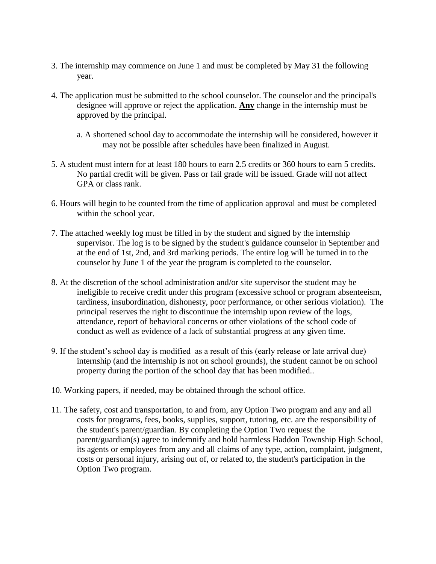- 3. The internship may commence on June 1 and must be completed by May 31 the following year.
- 4. The application must be submitted to the school counselor. The counselor and the principal's designee will approve or reject the application. **Any** change in the internship must be approved by the principal.
	- a. A shortened school day to accommodate the internship will be considered, however it may not be possible after schedules have been finalized in August.
- 5. A student must intern for at least 180 hours to earn 2.5 credits or 360 hours to earn 5 credits. No partial credit will be given. Pass or fail grade will be issued. Grade will not affect GPA or class rank.
- 6. Hours will begin to be counted from the time of application approval and must be completed within the school year.
- 7. The attached weekly log must be filled in by the student and signed by the internship supervisor. The log is to be signed by the student's guidance counselor in September and at the end of 1st, 2nd, and 3rd marking periods. The entire log will be turned in to the counselor by June 1 of the year the program is completed to the counselor.
- 8. At the discretion of the school administration and/or site supervisor the student may be ineligible to receive credit under this program (excessive school or program absenteeism, tardiness, insubordination, dishonesty, poor performance, or other serious violation). The principal reserves the right to discontinue the internship upon review of the logs, attendance, report of behavioral concerns or other violations of the school code of conduct as well as evidence of a lack of substantial progress at any given time.
- 9. If the student's school day is modified as a result of this (early release or late arrival due) internship (and the internship is not on school grounds), the student cannot be on school property during the portion of the school day that has been modified..
- 10. Working papers, if needed, may be obtained through the school office.
- 11. The safety, cost and transportation, to and from, any Option Two program and any and all costs for programs, fees, books, supplies, support, tutoring, etc. are the responsibility of the student's parent/guardian. By completing the Option Two request the parent/guardian(s) agree to indemnify and hold harmless Haddon Township High School, its agents or employees from any and all claims of any type, action, complaint, judgment, costs or personal injury, arising out of, or related to, the student's participation in the Option Two program.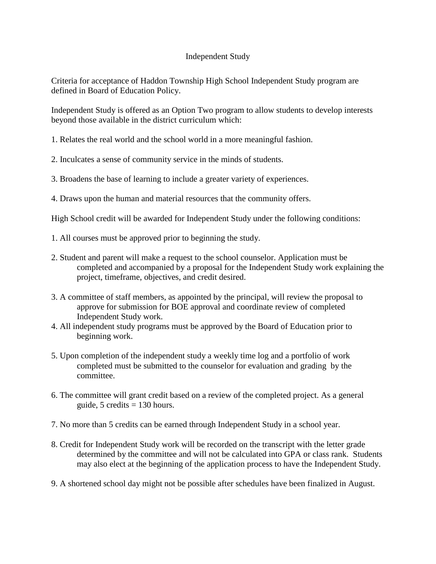## Independent Study

Criteria for acceptance of Haddon Township High School Independent Study program are defined in Board of Education Policy.

Independent Study is offered as an Option Two program to allow students to develop interests beyond those available in the district curriculum which:

- 1. Relates the real world and the school world in a more meaningful fashion.
- 2. Inculcates a sense of community service in the minds of students.
- 3. Broadens the base of learning to include a greater variety of experiences.
- 4. Draws upon the human and material resources that the community offers.

High School credit will be awarded for Independent Study under the following conditions:

- 1. All courses must be approved prior to beginning the study.
- 2. Student and parent will make a request to the school counselor. Application must be completed and accompanied by a proposal for the Independent Study work explaining the project, timeframe, objectives, and credit desired.
- 3. A committee of staff members, as appointed by the principal, will review the proposal to approve for submission for BOE approval and coordinate review of completed Independent Study work.
- 4. All independent study programs must be approved by the Board of Education prior to beginning work.
- 5. Upon completion of the independent study a weekly time log and a portfolio of work completed must be submitted to the counselor for evaluation and grading by the committee.
- 6. The committee will grant credit based on a review of the completed project. As a general guide, 5 credits  $= 130$  hours.
- 7. No more than 5 credits can be earned through Independent Study in a school year.
- 8. Credit for Independent Study work will be recorded on the transcript with the letter grade determined by the committee and will not be calculated into GPA or class rank. Students may also elect at the beginning of the application process to have the Independent Study.
- 9. A shortened school day might not be possible after schedules have been finalized in August.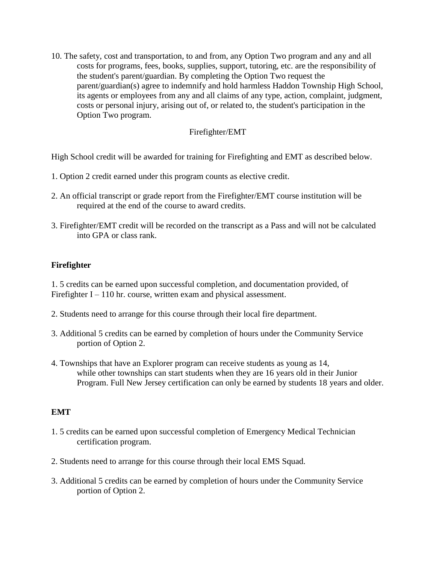10. The safety, cost and transportation, to and from, any Option Two program and any and all costs for programs, fees, books, supplies, support, tutoring, etc. are the responsibility of the student's parent/guardian. By completing the Option Two request the parent/guardian(s) agree to indemnify and hold harmless Haddon Township High School, its agents or employees from any and all claims of any type, action, complaint, judgment, costs or personal injury, arising out of, or related to, the student's participation in the Option Two program.

## Firefighter/EMT

High School credit will be awarded for training for Firefighting and EMT as described below.

- 1. Option 2 credit earned under this program counts as elective credit.
- 2. An official transcript or grade report from the Firefighter/EMT course institution will be required at the end of the course to award credits.
- 3. Firefighter/EMT credit will be recorded on the transcript as a Pass and will not be calculated into GPA or class rank.

# **Firefighter**

1. 5 credits can be earned upon successful completion, and documentation provided, of Firefighter  $I - 110$  hr. course, written exam and physical assessment.

- 2. Students need to arrange for this course through their local fire department.
- 3. Additional 5 credits can be earned by completion of hours under the Community Service portion of Option 2.
- 4. Townships that have an Explorer program can receive students as young as 14, while other townships can start students when they are 16 years old in their Junior Program. Full New Jersey certification can only be earned by students 18 years and older.

#### **EMT**

- 1. 5 credits can be earned upon successful completion of Emergency Medical Technician certification program.
- 2. Students need to arrange for this course through their local EMS Squad.
- 3. Additional 5 credits can be earned by completion of hours under the Community Service portion of Option 2.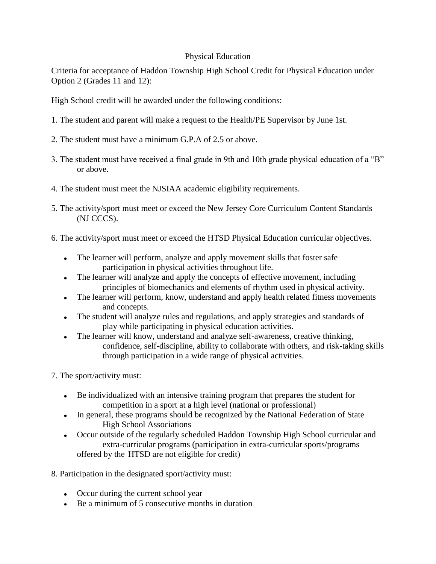## Physical Education

Criteria for acceptance of Haddon Township High School Credit for Physical Education under Option 2 (Grades 11 and 12):

High School credit will be awarded under the following conditions:

- 1. The student and parent will make a request to the Health/PE Supervisor by June 1st.
- 2. The student must have a minimum G.P.A of 2.5 or above.
- 3. The student must have received a final grade in 9th and 10th grade physical education of a "B" or above.
- 4. The student must meet the NJSIAA academic eligibility requirements.
- 5. The activity/sport must meet or exceed the New Jersey Core Curriculum Content Standards (NJ CCCS).
- 6. The activity/sport must meet or exceed the HTSD Physical Education curricular objectives.
	- The learner will perform, analyze and apply movement skills that foster safe  $\bullet$ participation in physical activities throughout life.
	- The learner will analyze and apply the concepts of effective movement, including principles of biomechanics and elements of rhythm used in physical activity.
	- The learner will perform, know, understand and apply health related fitness movements and concepts.
	- The student will analyze rules and regulations, and apply strategies and standards of play while participating in physical education activities.
	- The learner will know, understand and analyze self-awareness, creative thinking,  $\bullet$ confidence, self-discipline, ability to collaborate with others, and risk-taking skills through participation in a wide range of physical activities.
- 7. The sport/activity must:
	- Be individualized with an intensive training program that prepares the student for competition in a sport at a high level (national or professional)
	- In general, these programs should be recognized by the National Federation of State High School Associations
	- Occur outside of the regularly scheduled Haddon Township High School curricular and extra-curricular programs (participation in extra-curricular sports/programs offered by the HTSD are not eligible for credit)
- 8. Participation in the designated sport/activity must:
	- Occur during the current school year
	- Be a minimum of 5 consecutive months in duration